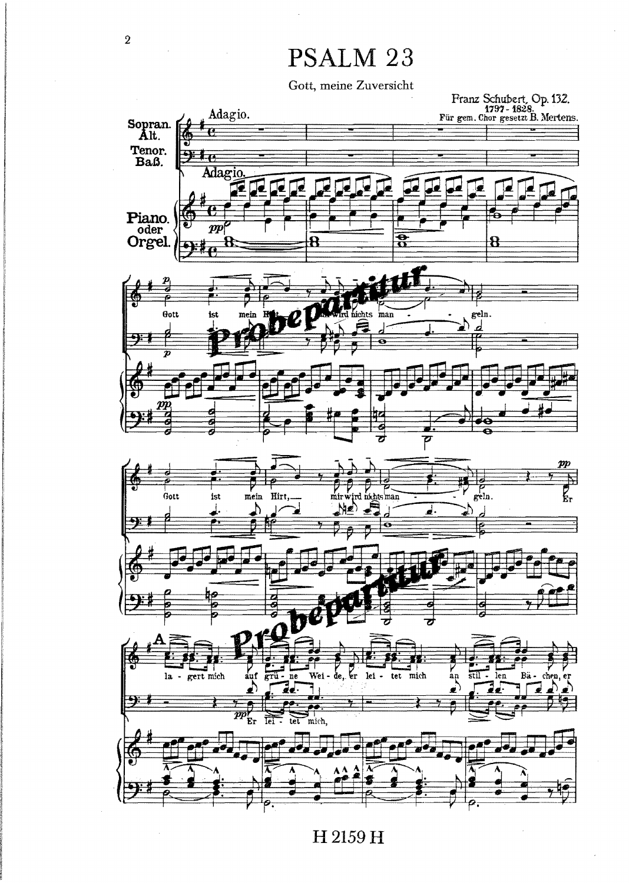## PSALM 23

Gott, meine Zuversicht

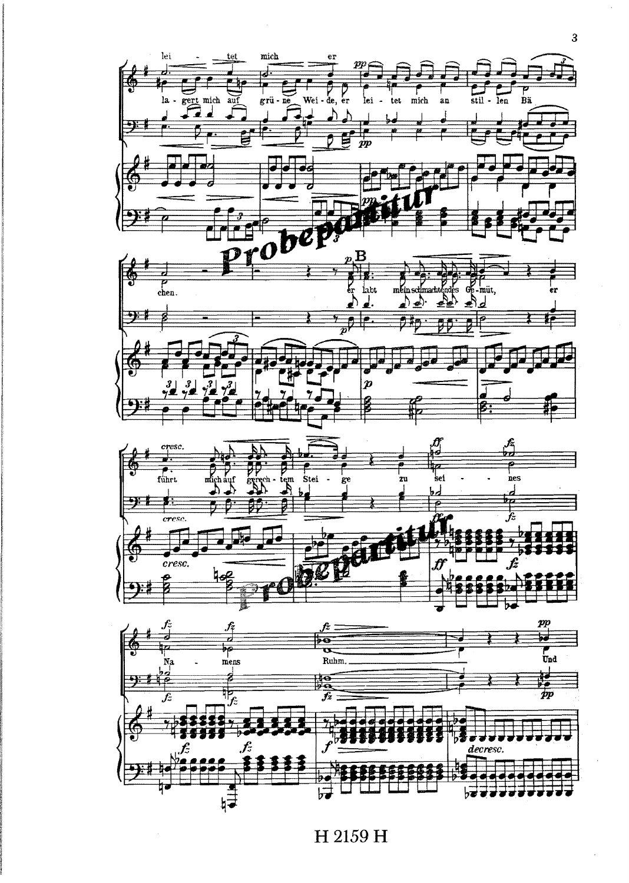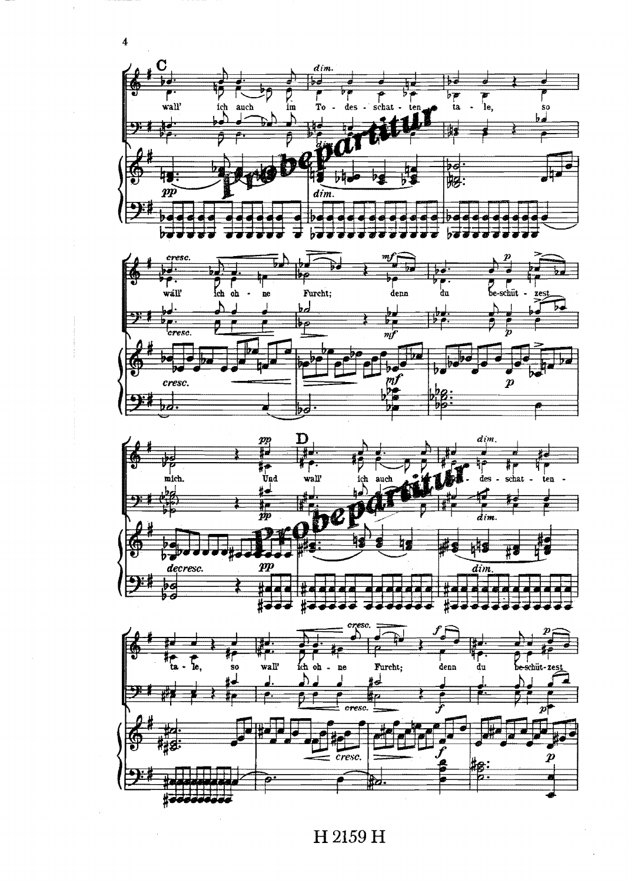





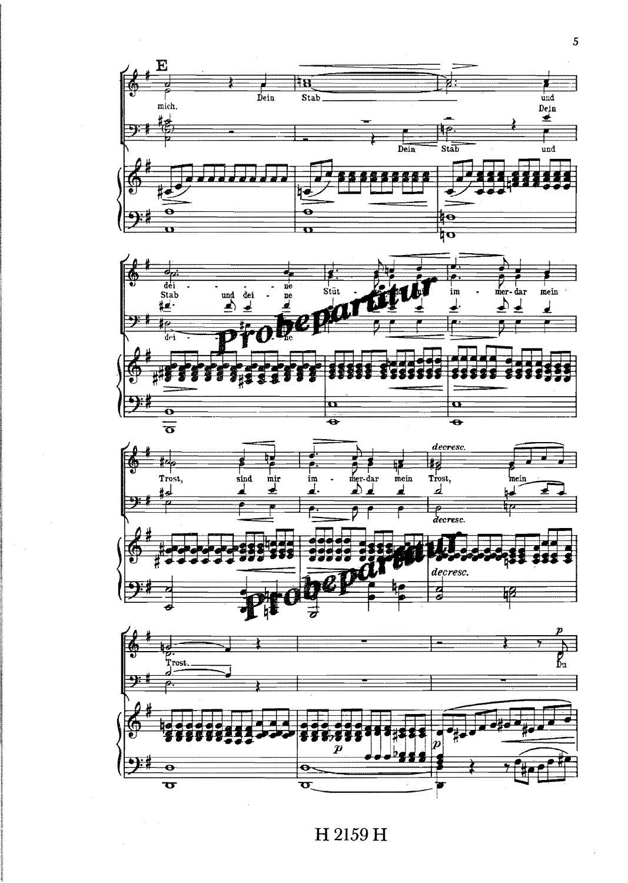





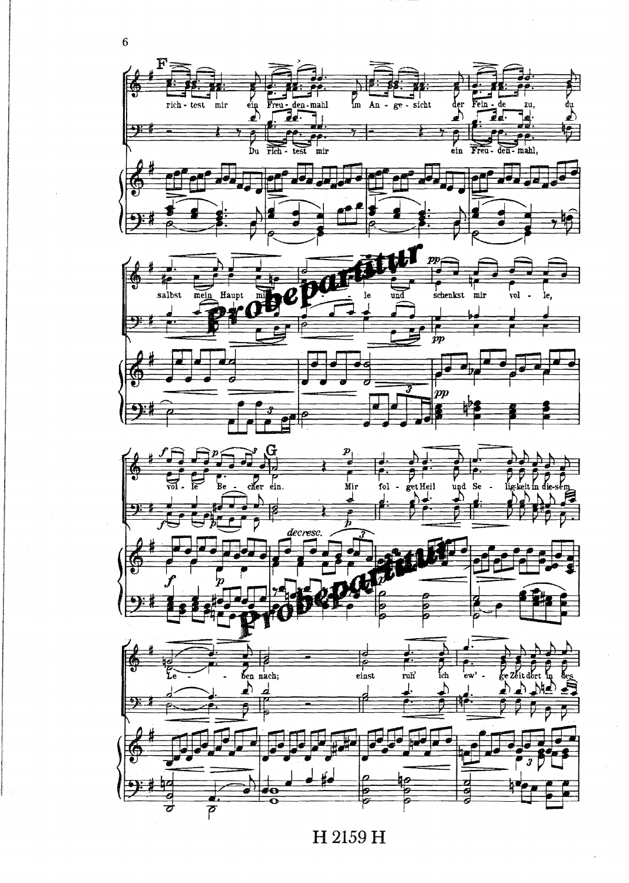

H 2159 H